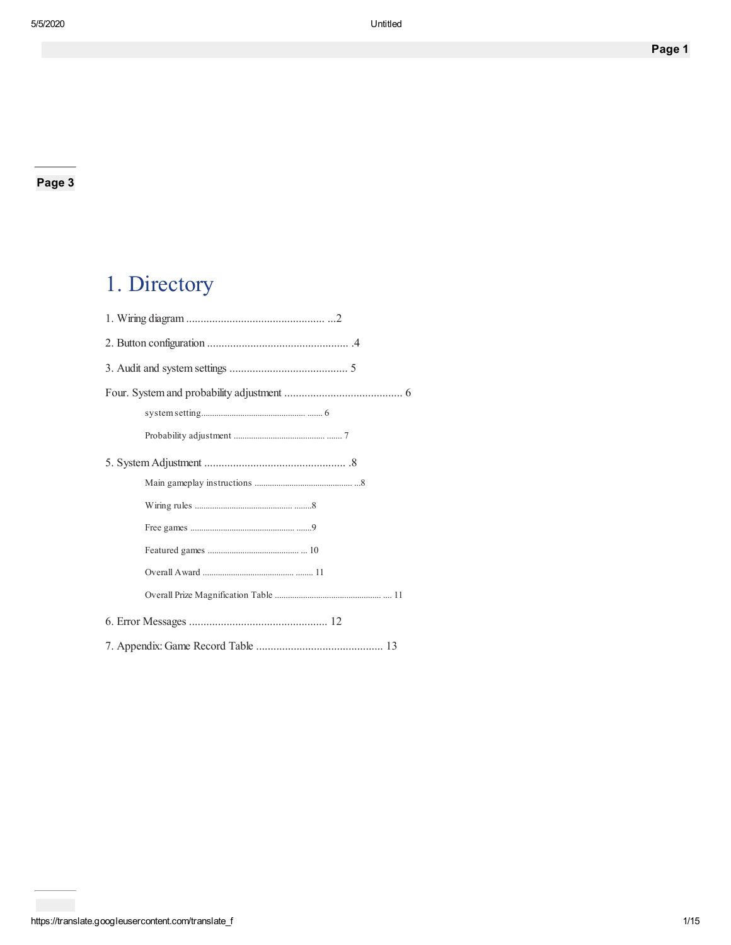# 1. Directory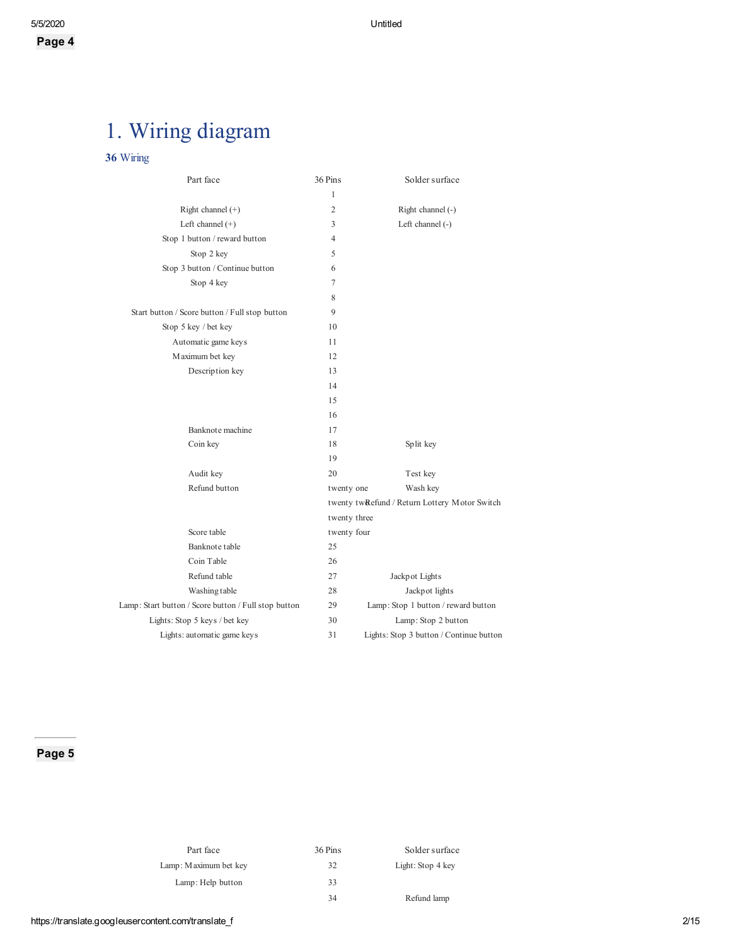# 1. Wiring diagram

#### 36 Wiring

| Part face                                            | 36 Pins        | Solder surface                                |
|------------------------------------------------------|----------------|-----------------------------------------------|
|                                                      | 1              |                                               |
| Right channel $(+)$                                  | 2              | Right channel (-)                             |
| Left channel $(+)$                                   | 3              | Left channel $(-)$                            |
| Stop 1 button / reward button                        | $\overline{4}$ |                                               |
| Stop 2 key                                           | 5              |                                               |
| Stop 3 button / Continue button                      | 6              |                                               |
| Stop 4 key                                           | 7              |                                               |
|                                                      | 8              |                                               |
| Start button / Score button / Full stop button       | 9              |                                               |
| Stop 5 key / bet key                                 | 10             |                                               |
| Automatic game keys                                  | 11             |                                               |
| Maximum bet key                                      | 12             |                                               |
| Description key                                      | 13             |                                               |
|                                                      | 14             |                                               |
|                                                      | 15             |                                               |
|                                                      | 16             |                                               |
| Banknote machine                                     | 17             |                                               |
| Coin key                                             | 18             | Split key                                     |
|                                                      | 19             |                                               |
| Audit key                                            | 20             | Test key                                      |
| Refund button                                        | twenty one     | Wash key                                      |
|                                                      |                | twenty twRefund / Return Lottery Motor Switch |
|                                                      | twenty three   |                                               |
| Score table                                          | twenty four    |                                               |
| Banknote table                                       | 25             |                                               |
| Coin Table                                           | 26             |                                               |
| Refund table                                         | 27             | Jackpot Lights                                |
| Washing table                                        | 28             | Jackpot lights                                |
| Lamp: Start button / Score button / Full stop button | 29             | Lamp: Stop 1 button / reward button           |
| Lights: Stop 5 keys / bet key                        | 30             | Lamp: Stop 2 button                           |
| Lights: automatic game keys                          | 31             | Lights: Stop 3 button / Continue button       |

| Part face             | 36 Pins | Solder surface    |
|-----------------------|---------|-------------------|
| Lamp: Maximum bet key | 32      | Light: Stop 4 key |
| Lamp: Help button     | 33      |                   |
|                       | 34      | Refund lamp       |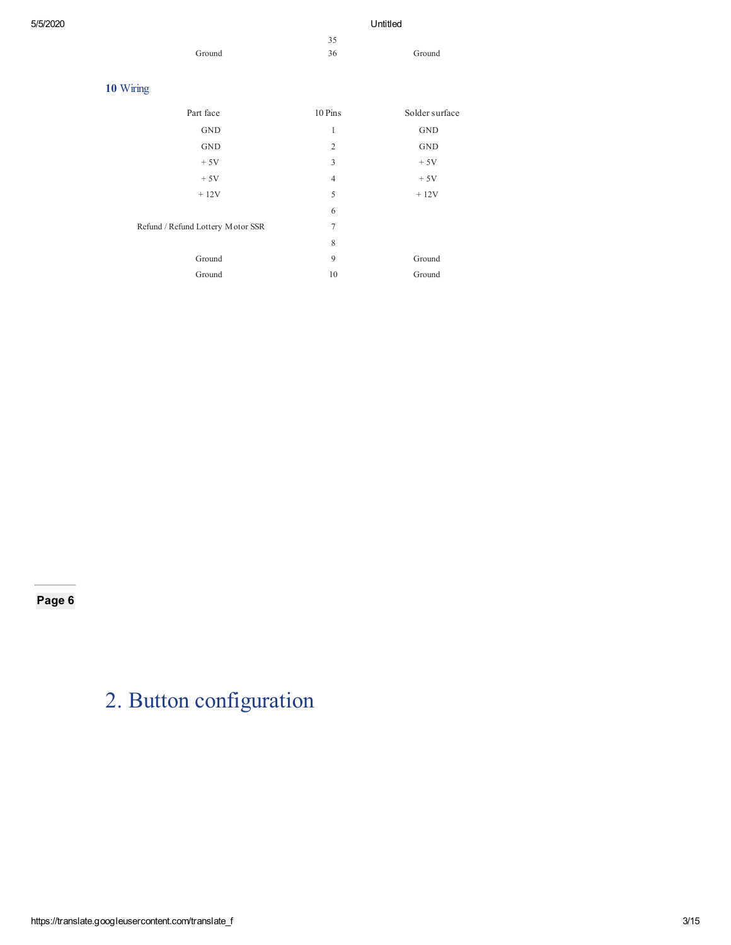| 5/5/2020 |                                   |                  | Untitled             |
|----------|-----------------------------------|------------------|----------------------|
|          |                                   | 35               |                      |
|          | Ground                            | 36               | Ground               |
|          |                                   |                  |                      |
|          | 10 Wiring                         |                  |                      |
|          | Part face                         | 10 Pins          | Solder surface       |
|          | $\operatorname{GND}$              | $\mathbf{1}$     | <b>GND</b>           |
|          | $\operatorname{GND}$              | $\boldsymbol{2}$ | $\operatorname{GND}$ |
|          | $+5V$                             | 3                | $+5V$                |
|          | $+5V$                             | $\overline{4}$   | $+5V$                |
|          | $+12V$                            | 5                | $+12V$               |
|          |                                   | 6                |                      |
|          | Refund / Refund Lottery Motor SSR | 7                |                      |
|          |                                   | 8                |                      |
|          | Ground                            | 9                | Ground               |
|          | Ground                            | 10               | Ground               |
|          |                                   |                  |                      |

# 2. Button configuration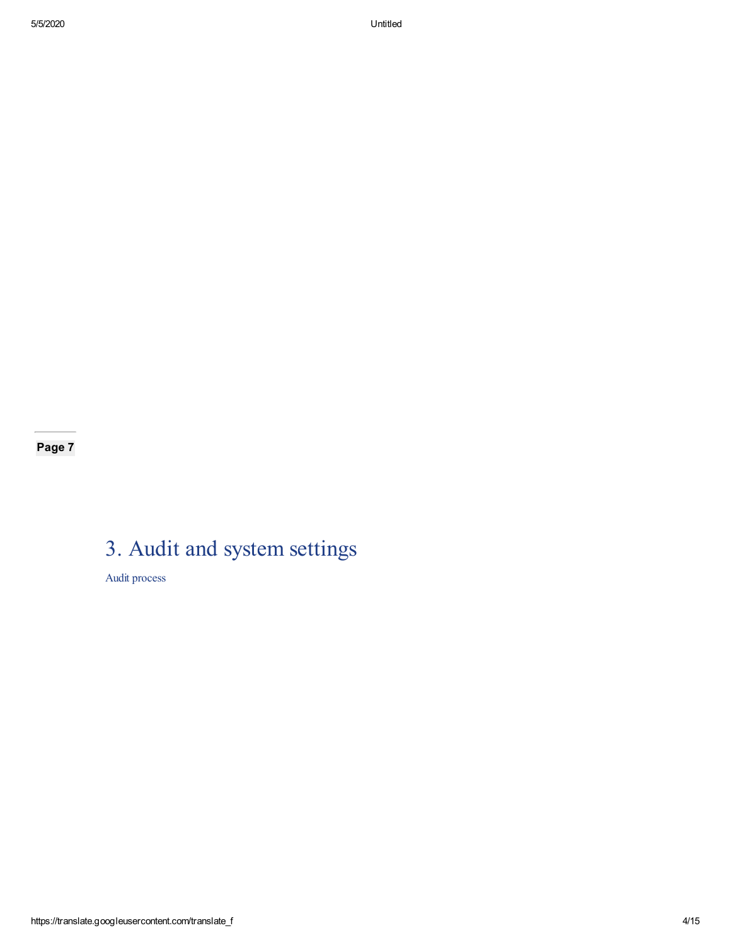# 3. Audit and system settings

Audit process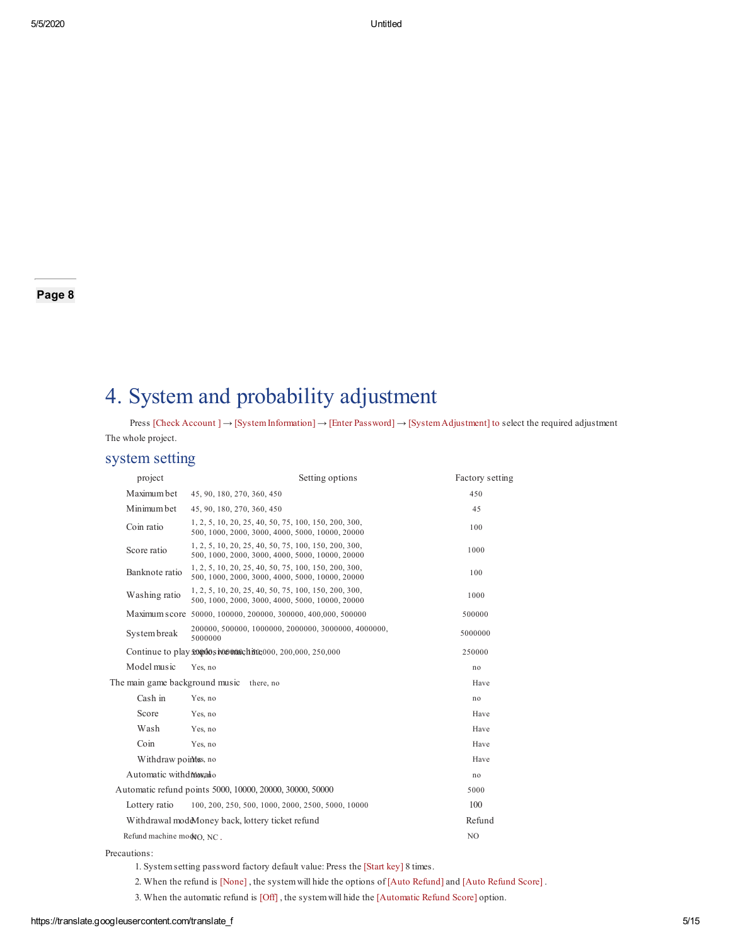## 4. System and probability adjustment

Press [Check Account ] → [SystemInformation] → [Enter Password] → [SystemAdjustment] to select the required adjustment The whole project.

#### system setting

| project                   | Setting options                                                                                         | Factory setting |
|---------------------------|---------------------------------------------------------------------------------------------------------|-----------------|
| Maximum bet               | 45, 90, 180, 270, 360, 450                                                                              | 450             |
| Minimum bet               | 45, 90, 180, 270, 360, 450                                                                              | 45              |
| Coin ratio                | 1, 2, 5, 10, 20, 25, 40, 50, 75, 100, 150, 200, 300,<br>500, 1000, 2000, 3000, 4000, 5000, 10000, 20000 | 100             |
| Score ratio               | 1, 2, 5, 10, 20, 25, 40, 50, 75, 100, 150, 200, 300,<br>500, 1000, 2000, 3000, 4000, 5000, 10000, 20000 | 1000            |
| Banknote ratio            | 1, 2, 5, 10, 20, 25, 40, 50, 75, 100, 150, 200, 300,<br>500, 1000, 2000, 3000, 4000, 5000, 10000, 20000 | 100             |
| Washing ratio             | 1, 2, 5, 10, 20, 25, 40, 50, 75, 100, 150, 200, 300,<br>500, 1000, 2000, 3000, 4000, 5000, 10000, 20000 | 1000            |
|                           | Maximum score 50000, 100000, 200000, 300000, 400,000, 500000                                            | 500000          |
| System break              | 200000, 500000, 1000000, 2000000, 3000000, 4000000,<br>5000000                                          | 5000000         |
|                           | Continue to play <b>soundos</b> iver one of fit e000, 200,000, 250,000                                  | 250000          |
| Model music               | Yes. no                                                                                                 | no              |
|                           | The main game background music there, no                                                                | Have            |
| Cash in                   | Yes, no                                                                                                 | no              |
| Score                     | Yes, no                                                                                                 | Have            |
| Wash                      | Yes, no                                                                                                 | Have            |
| Coin                      | Yes. no                                                                                                 | Have            |
| Withdraw points, no       |                                                                                                         | Have            |
| Automatic withdrewallo    |                                                                                                         | no              |
|                           | Automatic refund points 5000, 10000, 20000, 30000, 50000                                                | 5000            |
| Lottery ratio             | 100, 200, 250, 500, 1000, 2000, 2500, 5000, 10000                                                       | 100             |
|                           | Withdrawal modeMoney back, lottery ticket refund                                                        | Refund          |
| Refund machine modeO, NC. |                                                                                                         | N <sub>O</sub>  |

Precautions:

1. Systemsetting password factory default value: Press the [Start key] 8 times.

2. When the refund is [None] , the systemwill hide the options of [Auto Refund] and [Auto Refund Score] .

3. When the automatic refund is [Off] , the systemwill hide the [Automatic Refund Score] option.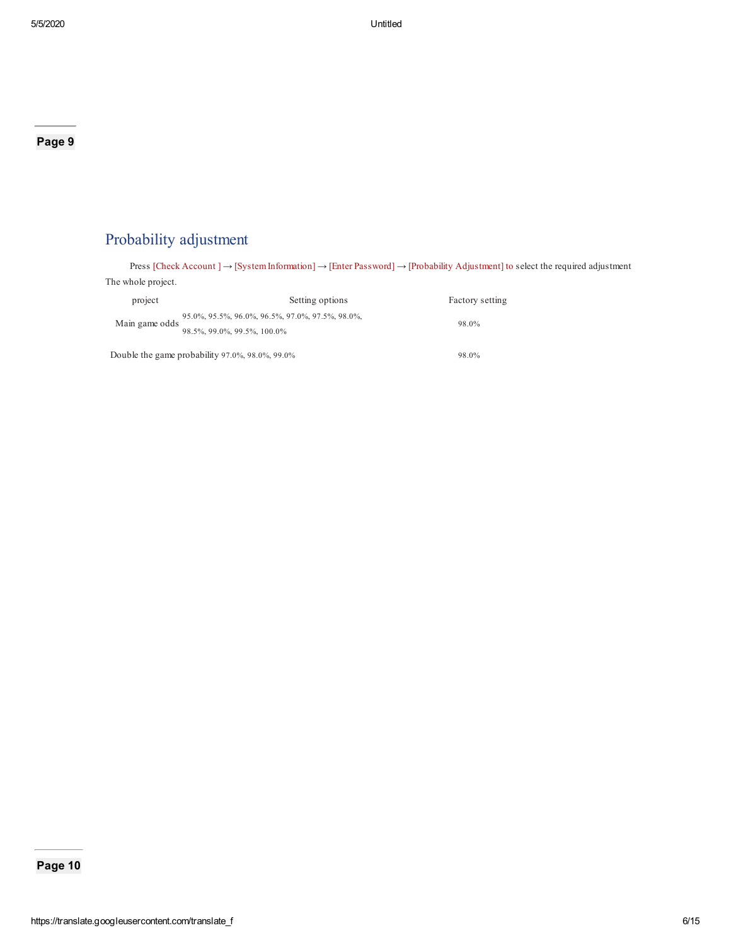## Probability adjustment

Press [Check Account ] → [SystemInformation] → [Enter Password] → [Probability Adjustment] to select the required adjustment The whole project. project Setting options Factory setting

| <b>DIOJCCL</b> | <b>SCILLER OPLIQUE</b>                           | ractory setting |
|----------------|--------------------------------------------------|-----------------|
|                | 95.0%, 95.5%, 96.0%, 96.5%, 97.0%, 97.5%, 98.0%, |                 |
| Main game odds | 98.5%, 99.0%, 99.5%, 100.0%                      | 98.0%           |
|                | Double the game probability 97.0%, 98.0%, 99.0%  | 98.0%           |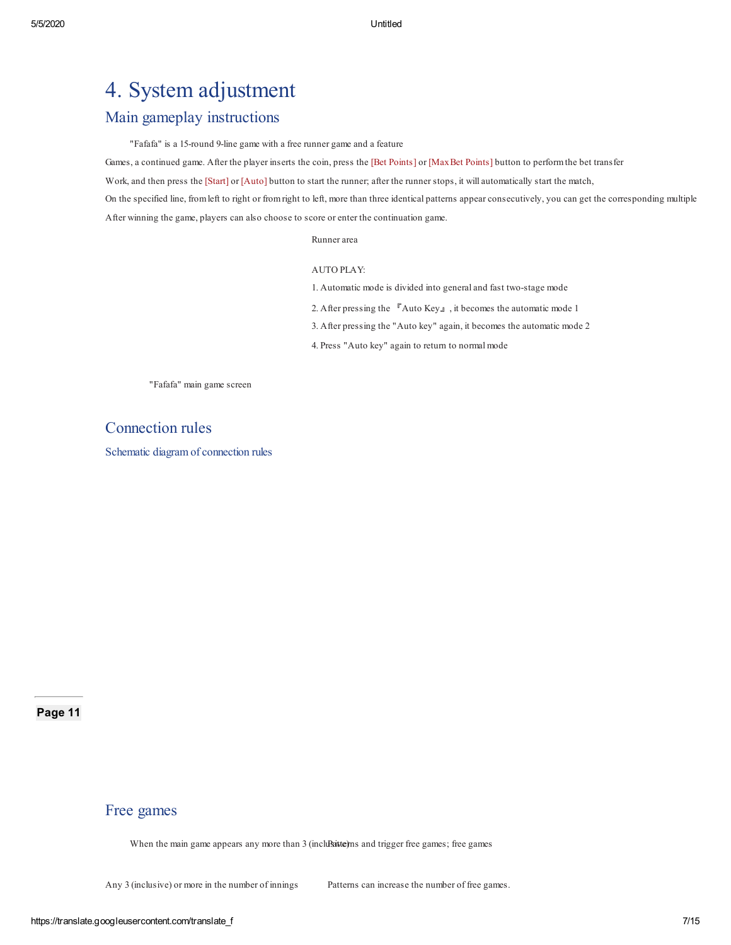## 4. System adjustment

### Main gameplay instructions

"Fafafa" is a 15-round 9-line game with a free runner game and a feature

Games, a continued game. After the player inserts the coin, press the [Bet Points] or [MaxBet Points] button to performthe bet transfer

Work, and then press the [Start] or [Auto] button to start the runner; after the runner stops, it will automatically start the match,

On the specified line, fromleft to right or fromright to left, more than three identical patterns appear consecutively, you can get the corresponding multiple After winning the game, players can also choose to score or enter the continuation game.

Runner area

#### AUTO PLAY:

- 1. Automatic mode is divided into general and fast two-stage mode
- 2. After pressing the  $R$ uto Key』, it becomes the automatic mode 1
- 3. After pressing the "Auto key" again, it becomes the automatic mode 2
- 4. Press "Auto key" again to return to normal mode

"Fafafa" main game screen

#### Connection rules

Schematic diagram of connection rules

Page 11

#### Free games

When the main game appears any more than 3 (incluent lines) and trigger free games; free games

Any 3 (inclusive) or more in the number of innings Patterns can increase the number of free games.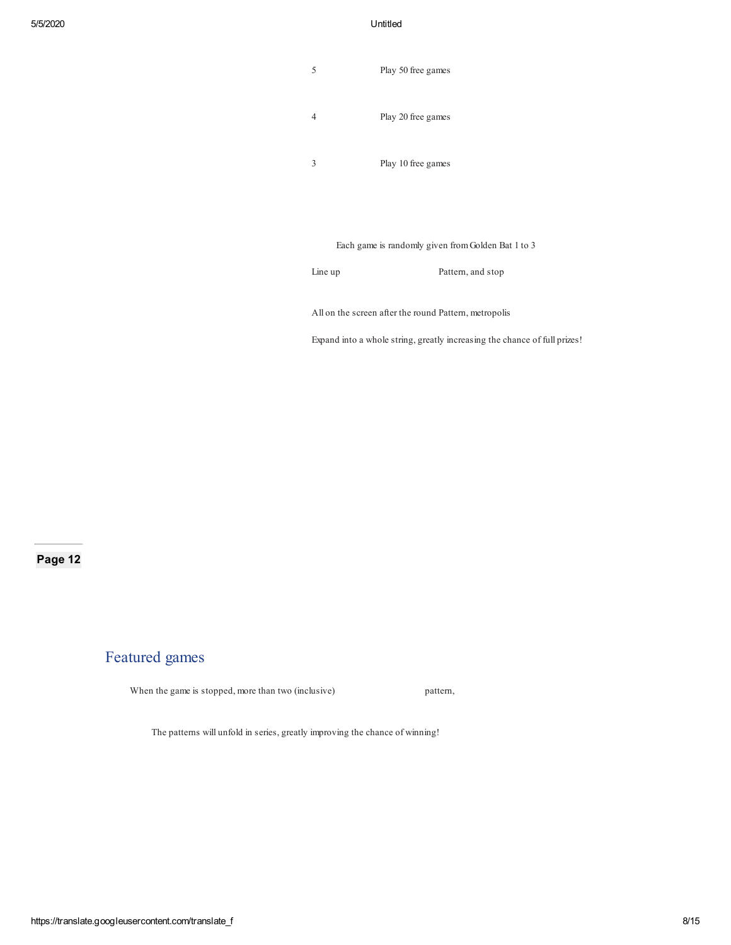#### 5/5/2020 Untitled

| 5 | Play 50 free games |
|---|--------------------|
|   | Play 20 free games |
|   | Play 10 free games |

Each game is randomly given fromGolden Bat 1 to 3

Line up Pattern, and stop

All on the screen after the round Pattern, metropolis

Expand into a whole string, greatly increasing the chance of full prizes!

#### Page 12

#### Featured games

When the game is stopped, more than two (inclusive) pattern,

The patterns will unfold in series, greatly improving the chance of winning!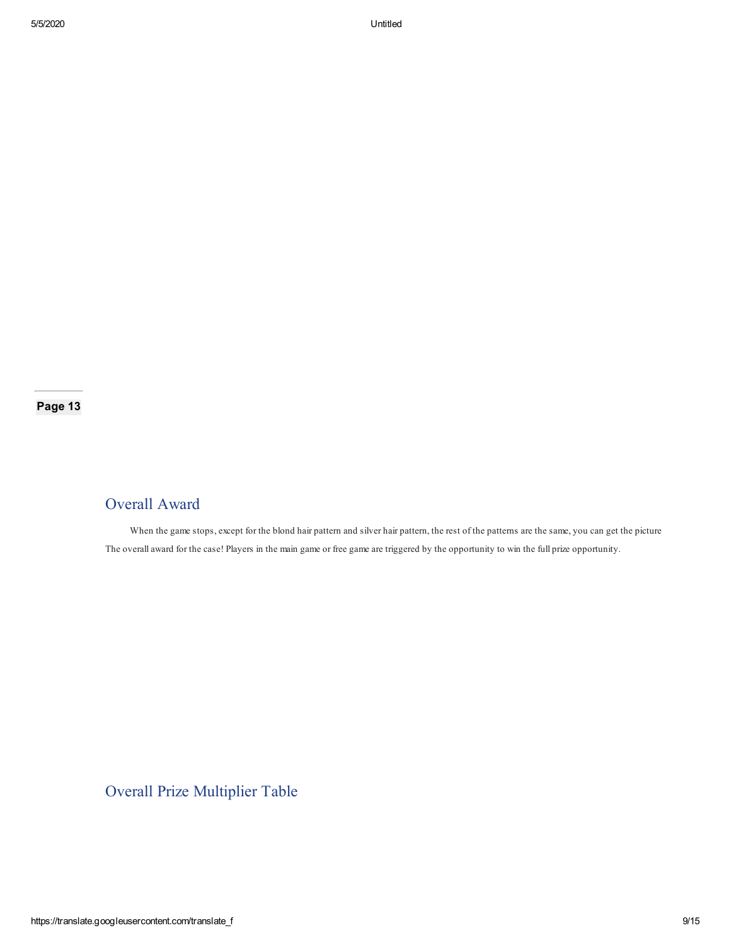### Overall Award

When the game stops, except for the blond hair pattern and silver hair pattern, the rest of the patterns are the same, you can get the picture The overall award for the case! Players in the main game or free game are triggered by the opportunity to win the full prize opportunity.

## Overall Prize Multiplier Table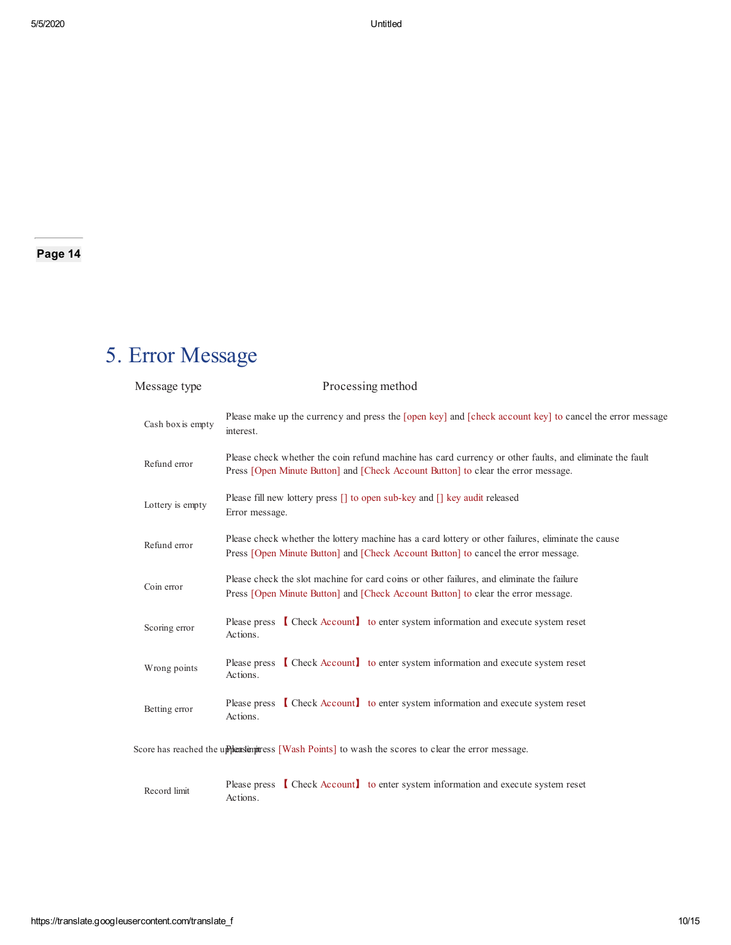# 5. Error Message

| Message type      | Processing method                                                                                                                                                                            |
|-------------------|----------------------------------------------------------------------------------------------------------------------------------------------------------------------------------------------|
| Cash box is empty | Please make up the currency and press the [open key] and [check account key] to cancel the error message<br>interest.                                                                        |
| Refund error      | Please check whether the coin refund machine has card currency or other faults, and eliminate the fault<br>Press [Open Minute Button] and [Check Account Button] to clear the error message. |
| Lottery is empty  | Please fill new lottery press [] to open sub-key and [] key audit released<br>Error message.                                                                                                 |
| Refund error      | Please check whether the lottery machine has a card lottery or other failures, eliminate the cause<br>Press [Open Minute Button] and [Check Account Button] to cancel the error message.     |
| Coin error        | Please check the slot machine for card coins or other failures, and eliminate the failure<br>Press [Open Minute Button] and [Check Account Button] to clear the error message.               |
| Scoring error     | Please press [Check Account] to enter system information and execute system reset<br>Actions.                                                                                                |
| Wrong points      | Please press [Check Account] to enter system information and execute system reset<br>Actions.                                                                                                |
| Betting error     | Please press [Check Account] to enter system information and execute system reset<br>Actions.                                                                                                |
|                   | Score has reached the uppleasing term is [Wash Points] to wash the scores to clear the error message.                                                                                        |

Record limit Please press 【 Check Account】 to enter system information and execute system reset Actions.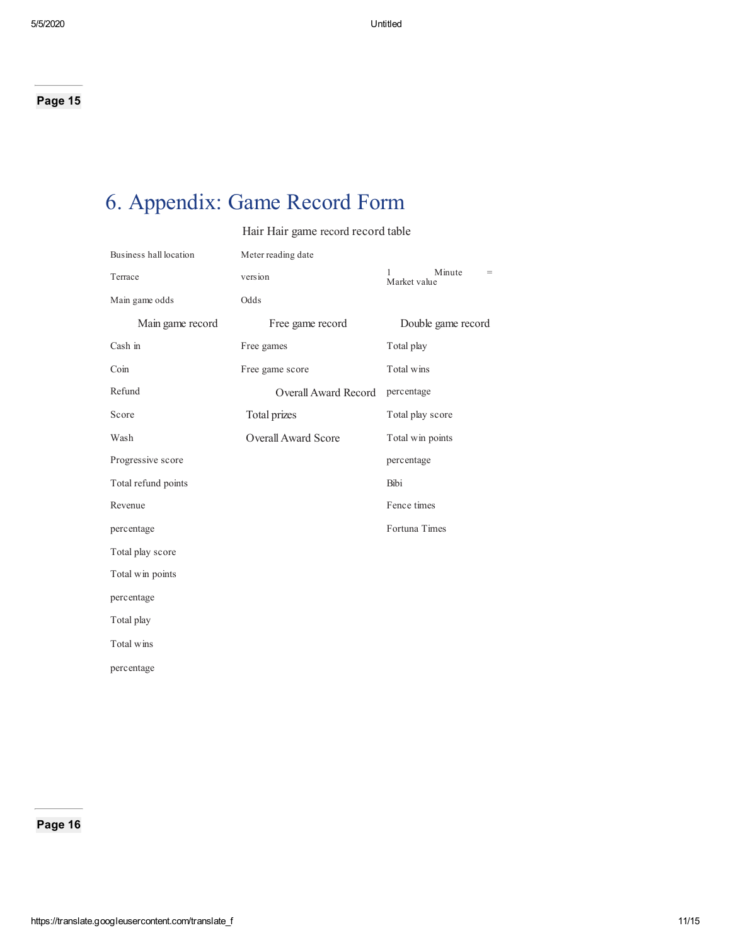# 6. Appendix: Game Record Form

Hair Hair game record record table

| Business hall location | Meter reading date         |                               |
|------------------------|----------------------------|-------------------------------|
| Terrace                | version                    | Minute<br>$=$<br>Market value |
| Main game odds         | Odds                       |                               |
| Main game record       | Free game record           | Double game record            |
| Cash in                | Free games                 | Total play                    |
| Coin                   | Free game score            | Total wins                    |
| Refund                 | Overall Award Record       | percentage                    |
| Score                  | Total prizes               | Total play score              |
| Wash                   | <b>Overall Award Score</b> | Total win points              |
| Progressive score      |                            | percentage                    |
| Total refund points    |                            | Bibi                          |
| Revenue                |                            | Fence times                   |
| percentage             |                            | Fortuna Times                 |
| Total play score       |                            |                               |
| Total win points       |                            |                               |
| percentage             |                            |                               |
| Total play             |                            |                               |
| Total wins             |                            |                               |
| percentage             |                            |                               |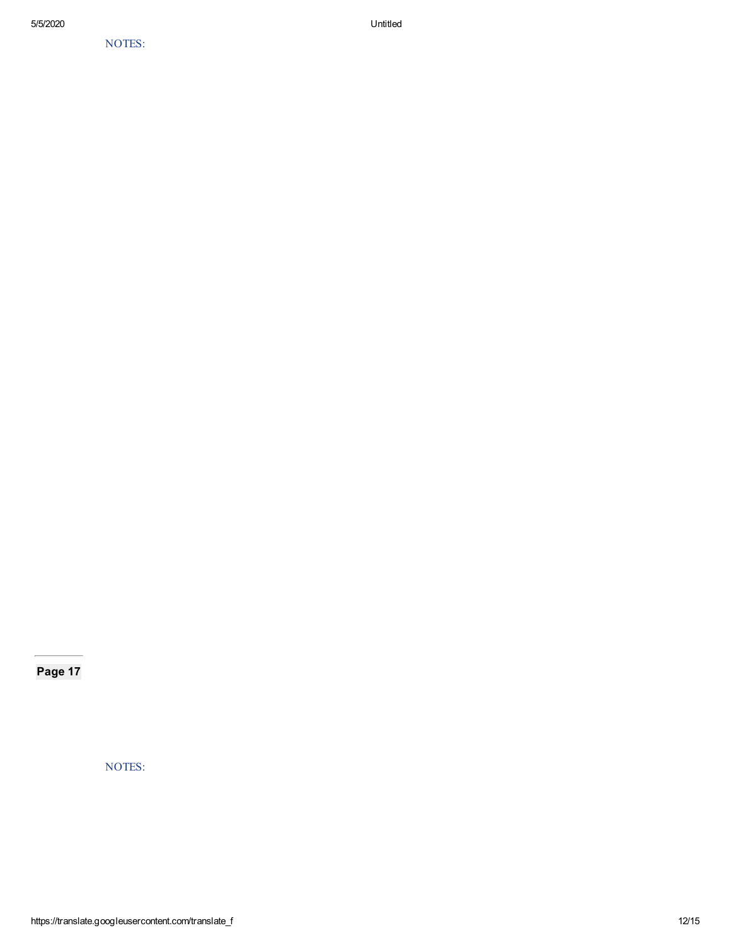NOTES:

Page 17

NOTES: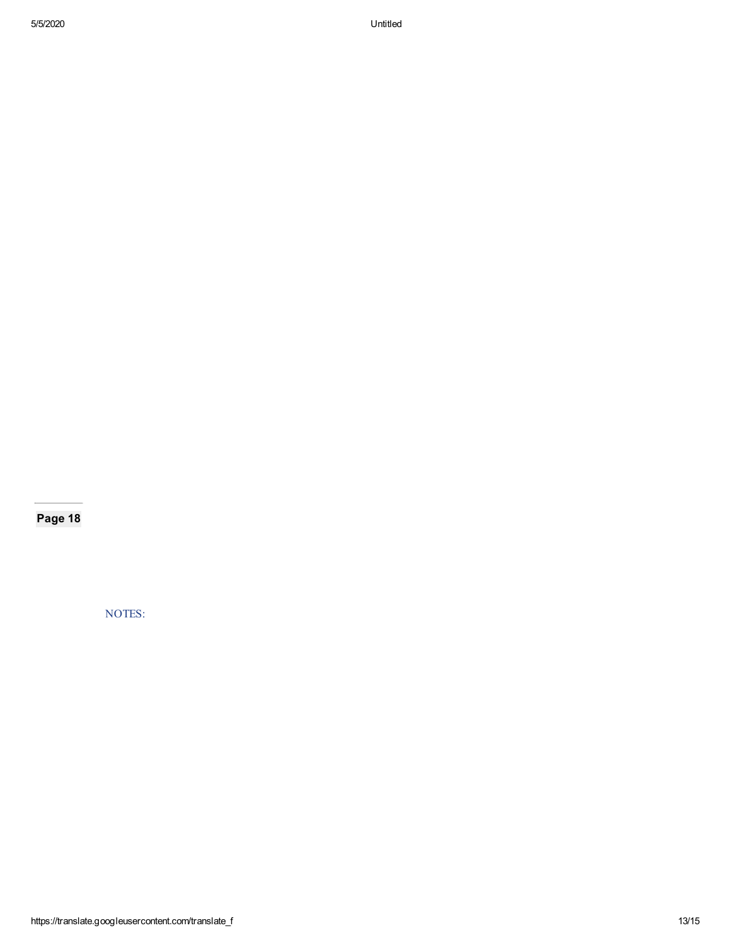NOTES: